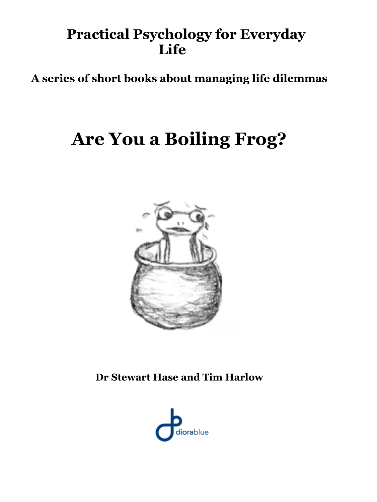## **Practical Psychology for Everyday Life**

**A series of short books about managing life dilemmas**

# **Are You a Boiling Frog?**



**Dr Stewart Hase and Tim Harlow**

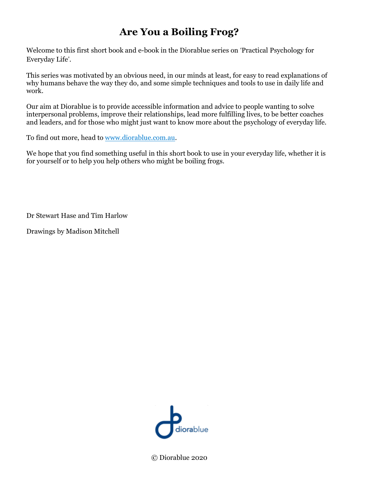## **Are You a Boiling Frog?**

Welcome to this first short book and e-book in the Diorablue series on 'Practical Psychology for Everyday Life'.

This series was motivated by an obvious need, in our minds at least, for easy to read explanations of why humans behave the way they do, and some simple techniques and tools to use in daily life and work.

Our aim at Diorablue is to provide accessible information and advice to people wanting to solve interpersonal problems, improve their relationships, lead more fulfilling lives, to be better coaches and leaders, and for those who might just want to know more about the psychology of everyday life.

To find out more, head to www.diorablue.com.au.

We hope that you find something useful in this short book to use in your everyday life, whether it is for yourself or to help you help others who might be boiling frogs.

Dr Stewart Hase and Tim Harlow

Drawings by Madison Mitchell



© Diorablue 2020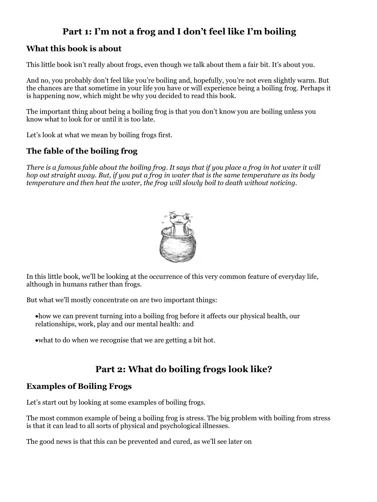## **Part 1: I'm not a frog and I don't feel like I'm boiling**

#### **What this book is about**

This little book isn't really about frogs, even though we talk about them a fair bit. It's about you.

And no, you probably don't feel like you're boiling and, hopefully, you're not even slightly warm. But the chances are that sometime in your life you have or will experience being a boiling frog. Perhaps it is happening now, which might be why you decided to read this book.

The important thing about being a boiling frog is that you don't know you are boiling unless you know what to look for or until it is too late.

Let's look at what we mean by boiling frogs first.

#### **The fable of the boiling frog**

There is a famous fable about the boiling frog. It says that if you place a frog in hot water it will hop out straight away. But, if you put a frog in water that is the same temperature as its body *temperature and then heat the water, the frog will slowly boil to death without noticing.*



In this little book, we'll be looking at the occurrence of this very common feature of everyday life, although in humans rather than frogs.

But what we'll mostly concentrate on are two important things:

- •how we can prevent turning into a boiling frog before it affects our physical health, our relationships, work, play and our mental health: and
- •what to do when we recognise that we are getting a bit hot.

## **Part 2: What do boiling frogs look like?**

#### **Examples of Boiling Frogs**

Let's start out by looking at some examples of boiling frogs.

The most common example of being a boiling frog is stress. The big problem with boiling from stress is that it can lead to all sorts of physical and psychological illnesses.

The good news is that this can be prevented and cured, as we'll see later on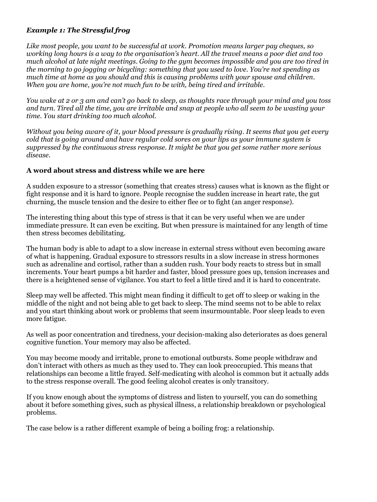#### *Example 1: The Stressful frog*

*Like most people, you want to be successful at work. Promotion means larger pay cheques, so* working long hours is a way to the organisation's heart. All the travel means a poor diet and too *much alcohol at late night meetings. Going to the gym becomes impossible and you are too tired in the morning to go jogging or bicycling: something that you used to love. You're not spending as much time at home as you should and this is causing problems with your spouse and children. When you are home, you're not much fun to be with, being tired and irritable.*

You wake at 2 or 3 am and can't go back to sleep, as thoughts race through your mind and you toss and turn. Tired all the time, you are irritable and snap at people who all seem to be wasting your *time. You start drinking too much alcohol.* 

Without you being aware of it, your blood pressure is gradually rising. It seems that you get every *cold that is going around and have regular cold sores on your lips as your immune system is suppressed by the continuous stress response. It might be that you get some rather more serious disease.*

#### **A word about stress and distress while we are here**

A sudden exposure to a stressor (something that creates stress) causes what is known as the flight or fight response and it is hard to ignore. People recognise the sudden increase in heart rate, the gut churning, the muscle tension and the desire to either flee or to fight (an anger response).

The interesting thing about this type of stress is that it can be very useful when we are under immediate pressure. It can even be exciting. But when pressure is maintained for any length of time then stress becomes debilitating.

The human body is able to adapt to a slow increase in external stress without even becoming aware of what is happening. Gradual exposure to stressors results in a slow increase in stress hormones such as adrenaline and cortisol, rather than a sudden rush. Your body reacts to stress but in small increments. Your heart pumps a bit harder and faster, blood pressure goes up, tension increases and there is a heightened sense of vigilance. You start to feel a little tired and it is hard to concentrate.

Sleep may well be affected. This might mean finding it difficult to get off to sleep or waking in the middle of the night and not being able to get back to sleep. The mind seems not to be able to relax and you start thinking about work or problems that seem insurmountable. Poor sleep leads to even more fatigue.

As well as poor concentration and tiredness, your decision-making also deteriorates as does general cognitive function. Your memory may also be affected.

You may become moody and irritable, prone to emotional outbursts. Some people withdraw and don't interact with others as much as they used to. They can look preoccupied. This means that relationships can become a little frayed. Self-medicating with alcohol is common but it actually adds to the stress response overall. The good feeling alcohol creates is only transitory.

If you know enough about the symptoms of distress and listen to yourself, you can do something about it before something gives, such as physical illness, a relationship breakdown or psychological problems.

The case below is a rather different example of being a boiling frog: a relationship.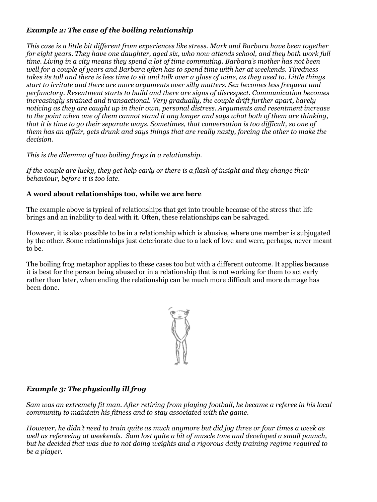#### *Example 2: The case of the boiling relationship*

*This case is a little bit different from experiences like stress. Mark and Barbara have been together for eight years. They have one daughter, aged six, who now attends school, and they both work full time. Living in a city means they spend a lot of time commuting. Barbara's mother has not been well for a couple of years and Barbara often has to spend time with her at weekends. Tiredness* takes its toll and there is less time to sit and talk over a glass of wine, as they used to. Little things *start to irritate and there are more arguments over silly matters. Sex becomes less frequent and perfunctory. Resentment starts to build and there are signs of disrespect. Communication becomes increasingly strained and transactional. Very gradually, the couple drift further apart, barely noticing as they are caught up in their own, personal distress. Arguments and resentment increase* to the point when one of them cannot stand it any longer and says what both of them are thinking, that it is time to go their separate ways. Sometimes, that conversation is too difficult, so one of them has an affair, gets drunk and says things that are really nasty, forcing the other to make the *decision.*

*This is the dilemma of two boiling frogs in a relationship.*

If the couple are lucky, they get help early or there is a flash of insight and they change their *behaviour, before it is too late.*

#### **A word about relationships too, while we are here**

The example above is typical of relationships that get into trouble because of the stress that life brings and an inability to deal with it. Often, these relationships can be salvaged.

However, it is also possible to be in a relationship which is abusive, where one member is subjugated by the other. Some relationships just deteriorate due to a lack of love and were, perhaps, never meant to be.

The boiling frog metaphor applies to these cases too but with a different outcome. It applies because it is best for the person being abused or in a relationship that is not working for them to act early rather than later, when ending the relationship can be much more difficult and more damage has been done.



#### *Example 3: The physically ill frog*

Sam was an extremely fit man. After retiring from playing football, he became a referee in his local *community to maintain his fitness and to stay associated with the game.* 

However, he didn't need to train quite as much anymore but did jog three or four times a week as *well as refereeing at weekends. Sam lost quite a bit of muscle tone and developed a small paunch, but he decided that was due to not doing weights and a rigorous daily training regime required to be a player.*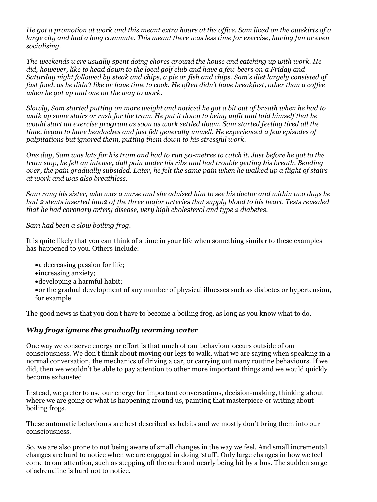He got a promotion at work and this meant extra hours at the office. Sam lived on the outskirts of a large city and had a long commute. This meant there was less time for exercise, having fun or even *socialising.*

*The weekends were usually spent doing chores around the house and catching up with work. He* did, however, like to head down to the local golf club and have a few beers on a Friday and Saturday night followed by steak and chips, a pie or fish and chips. Sam's diet largely consisted of fast food, as he didn't like or have time to cook. He often didn't have breakfast, other than a coffee *when he got up and one on the way to work.*

Slowly, Sam started putting on more weight and noticed he got a bit out of breath when he had to walk up some stairs or rush for the tram. He put it down to being unfit and told himself that he *would start an exercise program as soon as work settled down. Sam started feeling tired all the time, began to have headaches and just felt generally unwell. He experienced a few episodes of palpitations but ignored them, putting them down to his stressful work.*

One day, Sam was late for his tram and had to run 50-metres to catch it. Just before he got to the tram stop, he felt an intense, dull pain under his ribs and had trouble getting his breath. Bending over, the pain gradually subsided. Later, he felt the same pain when he walked up a flight of stairs *at work and was also breathless.*

Sam rang his sister, who was a nurse and she advised him to see his doctor and within two days he had 2 stents inserted into2 of the three major arteries that supply blood to his heart. Tests revealed *that he had coronary artery disease, very high cholesterol and type 2 diabetes.* 

#### *Sam had been a slow boiling frog.*

It is quite likely that you can think of a time in your life when something similar to these examples has happened to you. Others include:

- a decreasing passion for life;
- •increasing anxiety;
- •developing a harmful habit;
- •or the gradual development of any number of physical illnesses such as diabetes or hypertension, for example.

The good news is that you don't have to become a boiling frog, as long as you know what to do.

#### *Why frogs ignore the gradually warming water*

One way we conserve energy or effort is that much of our behaviour occurs outside of our consciousness. We don't think about moving our legs to walk, what we are saying when speaking in a normal conversation, the mechanics of driving a car, or carrying out many routine behaviours. If we did, then we wouldn't be able to pay attention to other more important things and we would quickly become exhausted.

Instead, we prefer to use our energy for important conversations, decision-making, thinking about where we are going or what is happening around us, painting that masterpiece or writing about boiling frogs.

These automatic behaviours are best described as habits and we mostly don't bring them into our consciousness.

So, we are also prone to not being aware of small changes in the way we feel. And small incremental changes are hard to notice when we are engaged in doing 'stuff'. Only large changes in how we feel come to our attention, such as stepping off the curb and nearly being hit by a bus. The sudden surge of adrenaline is hard not to notice.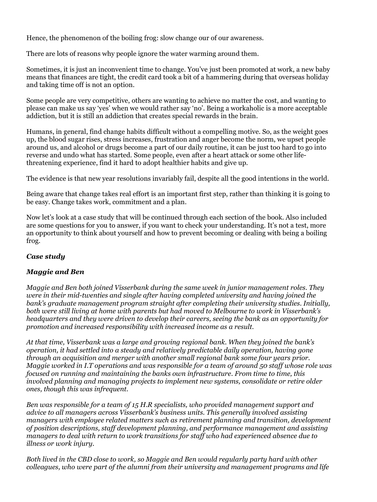Hence, the phenomenon of the boiling frog: slow change our of our awareness.

There are lots of reasons why people ignore the water warming around them.

Sometimes, it is just an inconvenient time to change. You've just been promoted at work, a new baby means that finances are tight, the credit card took a bit of a hammering during that overseas holiday and taking time off is not an option.

Some people are very competitive, others are wanting to achieve no matter the cost, and wanting to please can make us say 'yes' when we would rather say 'no'. Being a workaholic is a more acceptable addiction, but it is still an addiction that creates special rewards in the brain.

Humans, in general, find change habits difficult without a compelling motive. So, as the weight goes up, the blood sugar rises, stress increases, frustration and anger become the norm, we upset people around us, and alcohol or drugs become a part of our daily routine, it can be just too hard to go into reverse and undo what has started. Some people, even after a heart attack or some other lifethreatening experience, find it hard to adopt healthier habits and give up.

The evidence is that new year resolutions invariably fail, despite all the good intentions in the world.

Being aware that change takes real effort is an important first step, rather than thinking it is going to be easy. Change takes work, commitment and a plan.

Now let's look at a case study that will be continued through each section of the book. Also included are some questions for you to answer, if you want to check your understanding. It's not a test, more an opportunity to think about yourself and how to prevent becoming or dealing with being a boiling frog.

#### *Case study*

#### *Maggie and Ben*

*Maggie and Ben both joined Visserbank during the same week in junior management roles. They were in their mid-twenties and single after having completed university and having joined the bank's graduate management program straight after completing their university studies. Initially, both were still living at home with parents but had moved to Melbourne to work in Visserbank's headquarters and they were driven to develop their careers, seeing the bank as an opportunity for promotion and increased responsibility with increased income as a result.*

*At that time, Visserbank was a large and growing regional bank. When they joined the bank's operation, it had settled into a steady and relatively predictable daily operation, having gone through an acquisition and merger with another small regional bank some four years prior. Maggie worked in I.T operations and was responsible for a team of around 50 staff whose role was focused on running and maintaining the banks own infrastructure. From time to time, this involved planning and managing projects to implement new systems, consolidate or retire older ones, though this was infrequent.*

*Ben was responsible for a team of 15 H.R specialists, who provided management support and advice to all managers across Visserbank's business units. This generally involved assisting managers with employee related matters such as retirement planning and transition, development of position descriptions, staff development planning, and performance management and assisting managers to deal with return to work transitions for staff who had experienced absence due to illness or work injury.*

*Both lived in the CBD close to work, so Maggie and Ben would regularly party hard with other colleagues, who were part of the alumni from their university and management programs and life*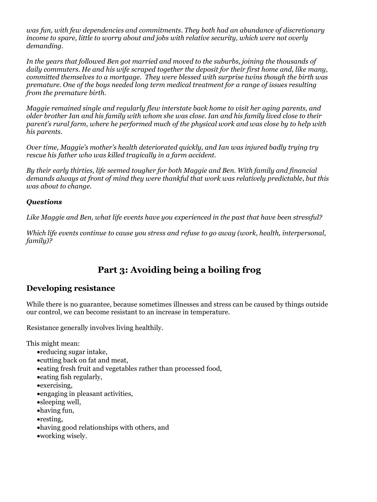*was fun, with few dependencies and commitments. They both had an abundance of discretionary income to spare, little to worry about and jobs with relative security, which were not overly demanding.*

*In the years that followed Ben got married and moved to the suburbs, joining the thousands of daily commuters. He and his wife scraped together the deposit for their first home and, like many, committed themselves to a mortgage. They were blessed with surprise twins though the birth was premature. One of the boys needed long term medical treatment for a range of issues resulting from the premature birth.*

*Maggie remained single and regularly flew interstate back home to visit her aging parents, and* older brother Ian and his family with whom she was close. Ian and his family lived close to their *parent's rural farm, where he performed much of the physical work and was close by to help with his parents.*

*Over time, Maggie's mother's health deteriorated quickly, and Ian was injured badly trying try rescue his father who was killed tragically in a farm accident.*

*By their early thirties, life seemed tougher for both Maggie and Ben. With family and financial demands always at front of mind they were thankful that work was relatively predictable, but this was about to change.*

#### *Questions*

*Like Maggie and Ben, what life events have you experienced in the past that have been stressful?*

*Which life events continue to cause you stress and refuse to go away (work, health, interpersonal, family)?*

## **Part 3: Avoiding being a boiling frog**

#### **Developing resistance**

While there is no guarantee, because sometimes illnesses and stress can be caused by things outside our control, we can become resistant to an increase in temperature.

Resistance generally involves living healthily.

This might mean:

- •reducing sugar intake,
- •cutting back on fat and meat,
- •eating fresh fruit and vegetables rather than processed food,
- •eating fish regularly,
- •exercising,
- •engaging in pleasant activities,
- •sleeping well,
- •having fun,
- •resting,
- •having good relationships with others, and
- •working wisely.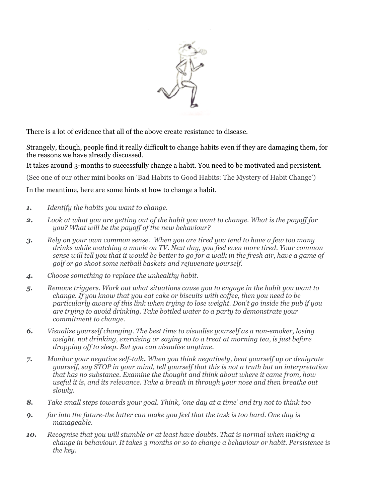

There is a lot of evidence that all of the above create resistance to disease.

Strangely, though, people find it really difficult to change habits even if they are damaging them, for the reasons we have already discussed.

It takes around 3-months to successfully change a habit. You need to be motivated and persistent.

(See one of our other mini books on 'Bad Habits to Good Habits: The Mystery of Habit Change')

In the meantime, here are some hints at how to change a habit.

- *1. Identify the habits you want to change.*
- 2. Look at what you are getting out of the habit you want to change. What is the payoff for *you? What will be the payoff of the new behaviour?*
- *3. Rely on your own common sense. When you are tired you tend to have a few too many drinks while watching a movie on TV. Next day, you feel even more tired. Your common* sense will tell you that it would be better to go for a walk in the fresh air, have a game of *golf or go shoot some netball baskets and rejuvenate yourself.*
- *4. Choose something to replace the unhealthy habit.*
- *5. Remove triggers. Work out what situations cause you to engage in the habit you want to change. If you know that you eat cake or biscuits with coffee, then you need to be particularly aware of this link when trying to lose weight. Don't go inside the pub if you are trying to avoid drinking. Take bottled water to a party to demonstrate your commitment to change.*
- *6. Visualize yourself changing. The best time to visualise yourself as a non-smoker, losing weight, not drinking, exercising or saying no to a treat at morning tea, is just before dropping off to sleep. But you can visualise anytime.*
- *7. Monitor your negative self-talk. When you think negatively, beat yourself up or denigrate yourself, say STOP in your mind, tell yourself that this is not a truth but an interpretation that has no substance. Examine the thought and think about where it came from, how useful it is, and its relevance. Take a breath in through your nose and then breathe out slowly.*
- *8. Take small steps towards your goal. Think, 'one day at a time' and try not to think too*
- *9. far into the future-the latter can make you feel that the task is too hard. One day is manageable.*
- *10. Recognise that you will stumble or at least have doubts. That is normal when making a change in behaviour. It takes 3 months or so to change a behaviour or habit. Persistence is the key.*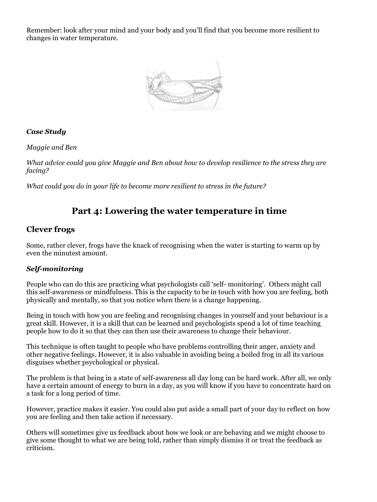Remember: look after your mind and your body and you'll find that you become more resilient to changes in water temperature.



#### *Case Study*

*Maggie and Ben*

*What advice could you give Maggie and Ben about how to develop resilience to the stress they are facing?*

*What could you do in your life to become more resilient to stress in the future?*

#### **Part 4: Lowering the water temperature in time**

#### **Clever frogs**

Some, rather clever, frogs have the knack of recognising when the water is starting to warm up by even the minutest amount.

#### *Self-monitoring*

People who can do this are practicing what psychologists call 'self- monitoring'. Others might call this self-awareness or mindfulness. This is the capacity to be in touch with how you are feeling, both physically and mentally, so that you notice when there is a change happening.

Being in touch with how you are feeling and recognising changes in yourself and your behaviour is a great skill. However, it is a skill that can be learned and psychologists spend a lot of time teaching people how to do it so that they can then use their awareness to change their behaviour.

This technique is often taught to people who have problems controlling their anger, anxiety and other negative feelings. However, it is also valuable in avoiding being a boiled frog in all its various disguises whether psychological or physical.

The problem is that being in a state of self-awareness all day long can be hard work. After all, we only have a certain amount of energy to burn in a day, as you will know if you have to concentrate hard on a task for a long period of time.

However, practice makes it easier. You could also put aside a small part of your day to reflect on how you are feeling and then take action if necessary.

Others will sometimes give us feedback about how we look or are behaving and we might choose to give some thought to what we are being told, rather than simply dismiss it or treat the feedback as criticism.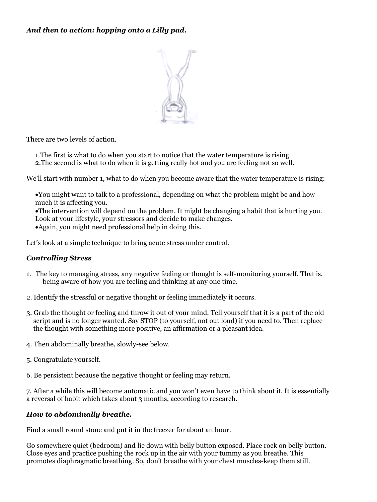#### *And then to action: hopping onto a Lilly pad.*



There are two levels of action.

1.The first is what to do when you start to notice that the water temperature is rising.

2.The second is what to do when it is getting really hot and you are feeling not so well.

We'll start with number 1, what to do when you become aware that the water temperature is rising:

•You might want to talk to a professional, depending on what the problem might be and how much it is affecting you.

•The intervention will depend on the problem. It might be changing a habit that is hurting you.

Look at your lifestyle, your stressors and decide to make changes.

•Again, you might need professional help in doing this.

Let's look at a simple technique to bring acute stress under control.

#### *Controlling Stress*

- 1. The key to managing stress, any negative feeling or thought is self-monitoring yourself. That is, being aware of how you are feeling and thinking at any one time.
- 2. Identify the stressful or negative thought or feeling immediately it occurs.
- 3. Grab the thought or feeling and throw it out of your mind. Tell yourself that it is a part of the old script and is no longer wanted. Say STOP (to yourself, not out loud) if you need to. Then replace the thought with something more positive, an affirmation or a pleasant idea.
- 4. Then abdominally breathe, slowly-see below.
- 5. Congratulate yourself.
- 6. Be persistent because the negative thought or feeling may return.

7. After a while this will become automatic and you won't even have to think about it. It is essentially a reversal of habit which takes about 3 months, according to research.

#### *How to abdominally breathe.*

Find a small round stone and put it in the freezer for about an hour.

Go somewhere quiet (bedroom) and lie down with belly button exposed. Place rock on belly button. Close eyes and practice pushing the rock up in the air with your tummy as you breathe. This promotes diaphragmatic breathing. So, don't breathe with your chest muscles-keep them still.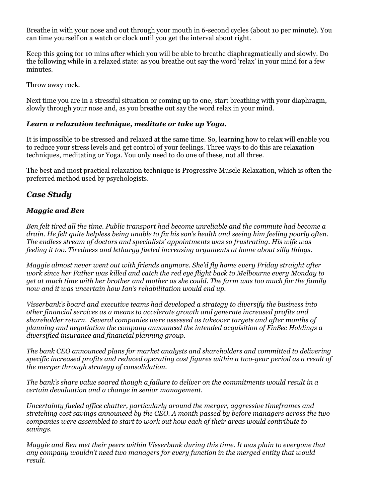Breathe in with your nose and out through your mouth in 6-second cycles (about 10 per minute). You can time yourself on a watch or clock until you get the interval about right.

Keep this going for 10 mins after which you will be able to breathe diaphragmatically and slowly. Do the following while in a relaxed state: as you breathe out say the word 'relax' in your mind for a few minutes.

Throw away rock.

Next time you are in a stressful situation or coming up to one, start breathing with your diaphragm, slowly through your nose and, as you breathe out say the word relax in your mind.

#### *Learn a relaxation technique, meditate or take up Yoga.*

It is impossible to be stressed and relaxed at the same time. So, learning how to relax will enable you to reduce your stress levels and get control of your feelings. Three ways to do this are relaxation techniques, meditating or Yoga. You only need to do one of these, not all three.

The best and most practical relaxation technique is Progressive Muscle Relaxation, which is often the preferred method used by psychologists.

#### *Case Study*

#### *Maggie and Ben*

*Ben felt tired all the time. Public transport had become unreliable and the commute had become a* drain. He felt quite helpless being unable to fix his son's health and seeing him feeling poorly often. *The endless stream of doctors and specialists' appointments was so frustrating. His wife was feeling it too. Tiredness and lethargy fueled increasing arguments at home about silly things.*

*Maggie almost never went out with friends anymore. She'd fly home every Friday straight after work since her Father was killed and catch the red eye flight back to Melbourne every Monday to* get at much time with her brother and mother as she could. The farm was too much for the family *now and it was uncertain how Ian's rehabilitation would end up.*

*Visserbank's board and executive teams had developed a strategy to diversify the business into other financial services as a means to accelerate growth and generate increased profits and shareholder return. Several companies were assessed as takeover targets and after months of planning and negotiation the company announced the intended acquisition of FinSec Holdings a diversified insurance and financial planning group.*

*The bank CEO announced plans for market analysts and shareholders and committed to delivering specific increased profits and reduced operating cost figures within a two-year period as a result of the merger through strategy of consolidation.*

*The bank's share value soared though a failure to deliver on the commitments would result in a certain devaluation and a change in senior management.*

*Uncertainty fueled office chatter, particularly around the merger, aggressive timeframes and stretching cost savings announced by the CEO. A month passed by before managers across the two companies were assembled to start to work out how each of their areas would contribute to savings.*

*Maggie and Ben met their peers within Visserbank during this time. It was plain to everyone that any company wouldn't need two managers for every function in the merged entity that would result.*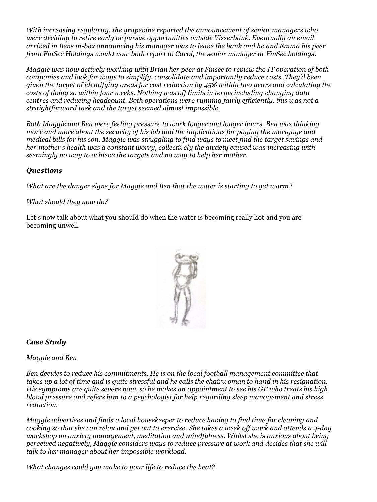*With increasing regularity, the grapevine reported the announcement of senior managers who were deciding to retire early or pursue opportunities outside Visserbank. Eventually an email arrived in Bens in-box announcing his manager was to leave the bank and he and Emma his peer from FinSec Holdings would now both report to Carol, the senior manager at FinSec holdings.*

*Maggie was now actively working with Brian her peer at Finsec to review the IT operation of both companies and look for ways to simplify, consolidate and importantly reduce costs. They'd been given the target of identifying areas for cost reduction by 45% within two years and calculating the costs of doing so within four weeks. Nothing was off limits in terms including changing data centres and reducing headcount. Both operations were running fairly efficiently, this was not a straightforward task and the target seemed almost impossible.*

*Both Maggie and Ben were feeling pressure to work longer and longer hours. Ben was thinking more and more about the security of his job and the implications for paying the mortgage and medical bills for his son. Maggie was struggling to find ways to meet find the target savings and her mother's health was a constant worry, collectively the anxiety caused was increasing with seemingly no way to achieve the targets and no way to help her mother.*

#### *Questions*

*What are the danger signs for Maggie and Ben that the water is starting to get warm?*

#### *What should they now do?*

Let's now talk about what you should do when the water is becoming really hot and you are becoming unwell.



#### *Case Study*

*Maggie and Ben*

*Ben decides to reduce his commitments. He is on the local football management committee that* takes up a lot of time and is quite stressful and he calls the chairwoman to hand in his resignation. His symptoms are quite severe now, so he makes an appointment to see his GP who treats his high *blood pressure and refers him to a psychologist for help regarding sleep management and stress reduction.*

*Maggie advertises and finds a local housekeeper to reduce having to find time for cleaning and* cooking so that she can relax and get out to exercise. She takes a week off work and attends a 4-day *workshop on anxiety management, meditation and mindfulness. Whilst she is anxious about being perceived negatively, Maggie considers ways to reduce pressure at work and decides that she will talk to her manager about her impossible workload.*

*What changes could you make to your life to reduce the heat?*